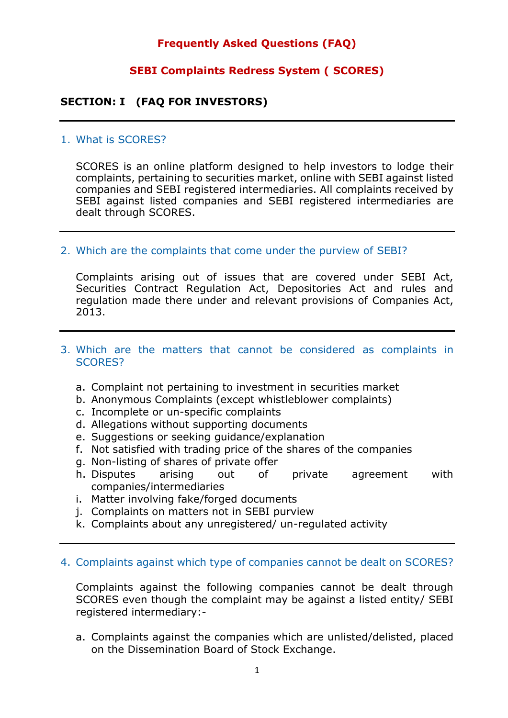# **Frequently Asked Questions (FAQ)**

# **SEBI Complaints Redress System ( SCORES)**

# **SECTION: I (FAQ FOR INVESTORS)**

#### 1. What is SCORES?

SCORES is an online platform designed to help investors to lodge their complaints, pertaining to securities market, online with SEBI against listed companies and SEBI registered intermediaries. All complaints received by SEBI against listed companies and SEBI registered intermediaries are dealt through SCORES.

#### 2. Which are the complaints that come under the purview of SEBI?

Complaints arising out of issues that are covered under SEBI Act, Securities Contract Regulation Act, Depositories Act and rules and regulation made there under and relevant provisions of Companies Act, 2013.

#### 3. Which are the matters that cannot be considered as complaints in SCORES?

- a. Complaint not pertaining to investment in securities market
- b. Anonymous Complaints (except whistleblower complaints)
- c. Incomplete or un-specific complaints
- d. Allegations without supporting documents
- e. Suggestions or seeking guidance/explanation
- f. Not satisfied with trading price of the shares of the companies
- g. Non-listing of shares of private offer
- h. Disputes arising out of private agreement with companies/intermediaries
- i. Matter involving fake/forged documents
- j. Complaints on matters not in SEBI purview
- k. Complaints about any unregistered/ un-regulated activity

#### 4. Complaints against which type of companies cannot be dealt on SCORES?

Complaints against the following companies cannot be dealt through SCORES even though the complaint may be against a listed entity/ SEBI registered intermediary:-

a. Complaints against the companies which are unlisted/delisted, placed on the Dissemination Board of Stock Exchange.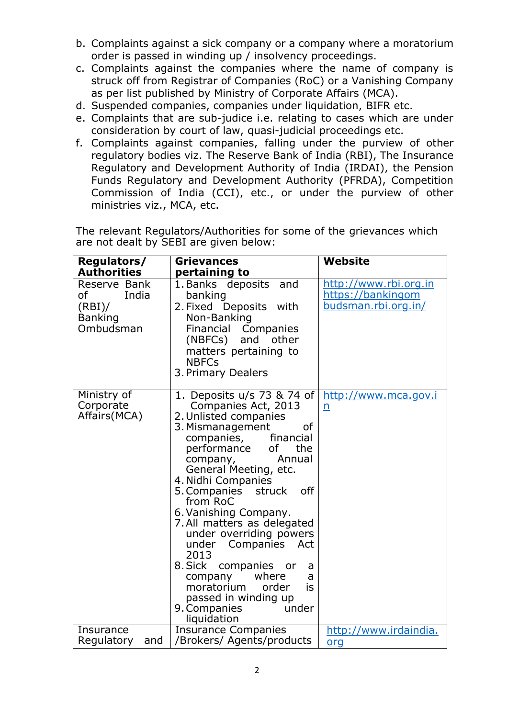- b. Complaints against a sick company or a company where a moratorium order is passed in winding up / insolvency proceedings.
- c. Complaints against the companies where the name of company is struck off from Registrar of Companies (RoC) or a Vanishing Company as per list published by Ministry of Corporate Affairs (MCA).
- d. Suspended companies, companies under liquidation, BIFR etc.
- e. Complaints that are sub-judice i.e. relating to cases which are under consideration by court of law, quasi-judicial proceedings etc.
- f. Complaints against companies, falling under the purview of other regulatory bodies viz. The Reserve Bank of India (RBI), The Insurance Regulatory and Development Authority of India (IRDAI), the Pension Funds Regulatory and Development Authority (PFRDA), Competition Commission of India (CCI), etc., or under the purview of other ministries viz., MCA, etc.

| Regulators/                                                         | <b>Grievances</b>                                                                                                                                                                                                                                                                                                                                                                                                                                                                                                                         | <b>Website</b>                                                    |
|---------------------------------------------------------------------|-------------------------------------------------------------------------------------------------------------------------------------------------------------------------------------------------------------------------------------------------------------------------------------------------------------------------------------------------------------------------------------------------------------------------------------------------------------------------------------------------------------------------------------------|-------------------------------------------------------------------|
| <b>Authorities</b>                                                  | pertaining to                                                                                                                                                                                                                                                                                                                                                                                                                                                                                                                             |                                                                   |
| Reserve Bank<br>India<br>of<br>(RBI)<br><b>Banking</b><br>Ombudsman | 1. Banks deposits<br>and<br>banking<br>2. Fixed Deposits with<br>Non-Banking<br>Financial Companies<br>(NBFCs) and other<br>matters pertaining to<br><b>NBFCs</b><br>3. Primary Dealers                                                                                                                                                                                                                                                                                                                                                   | http://www.rbi.org.in<br>https://bankingom<br>budsman.rbi.org.in/ |
| Ministry of<br>Corporate<br>Affairs (MCA)                           | 1. Deposits u/s 73 & 74 of<br>Companies Act, 2013<br>2. Unlisted companies<br>3. Mismanagement<br>of<br>companies, financial<br>performance<br>of<br>the<br>Annual<br>company,<br>General Meeting, etc.<br>4. Nidhi Companies<br>5. Companies struck off<br>from RoC<br>6. Vanishing Company.<br>7. All matters as delegated<br>under overriding powers<br>under Companies Act<br>2013<br>8. Sick companies or<br>a<br>where<br>company<br>a<br>moratorium<br>order<br>is<br>passed in winding up<br>under<br>9. Companies<br>liquidation | http://www.mca.gov.i<br>n                                         |
| Insurance<br>Regulatory<br>and                                      | <b>Insurance Companies</b><br>/Brokers/ Agents/products                                                                                                                                                                                                                                                                                                                                                                                                                                                                                   | http://www.irdaindia.                                             |
|                                                                     |                                                                                                                                                                                                                                                                                                                                                                                                                                                                                                                                           | orq                                                               |

The relevant Regulators/Authorities for some of the grievances which are not dealt by SEBI are given below: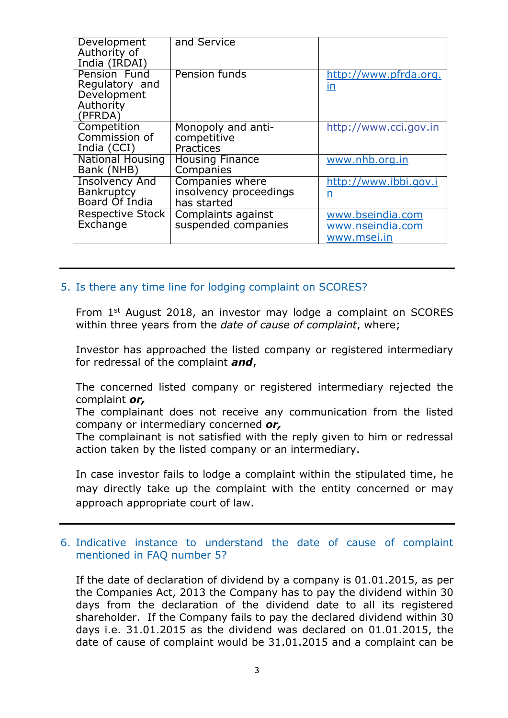| Development<br>Authority of<br>India (IRDAI)                          | and Service                                              |                                                     |
|-----------------------------------------------------------------------|----------------------------------------------------------|-----------------------------------------------------|
| Pension Fund<br>Regulatory and<br>Development<br>Authority<br>(PFRDA) | Pension funds                                            | http://www.pfrda.org.<br>in                         |
| Competition<br>Commission of<br>India (CCI)                           | Monopoly and anti-<br>competitive<br>Practices           | http://www.cci.gov.in                               |
| <b>National Housing</b><br>Bank (NHB)                                 | <b>Housing Finance</b><br>Companies                      | www.nhb.org.in                                      |
| <b>Insolvency And</b><br><b>Bankruptcy</b><br>Board Of India          | Companies where<br>insolvency proceedings<br>has started | http://www.ibbi.gov.i<br>n                          |
| <b>Respective Stock</b><br>Exchange                                   | Complaints against<br>suspended companies                | www.bseindia.com<br>www.nseindia.com<br>www.msei.in |

# 5. Is there any time line for lodging complaint on SCORES?

From 1st August 2018, an investor may lodge a complaint on SCORES within three years from the *date of cause of complaint*, where;

Investor has approached the listed company or registered intermediary for redressal of the complaint *and*,

The concerned listed company or registered intermediary rejected the complaint *or,*

The complainant does not receive any communication from the listed company or intermediary concerned *or,*

The complainant is not satisfied with the reply given to him or redressal action taken by the listed company or an intermediary.

In case investor fails to lodge a complaint within the stipulated time, he may directly take up the complaint with the entity concerned or may approach appropriate court of law.

# 6. Indicative instance to understand the date of cause of complaint mentioned in FAQ number 5?

If the date of declaration of dividend by a company is 01.01.2015, as per the Companies Act, 2013 the Company has to pay the dividend within 30 days from the declaration of the dividend date to all its registered shareholder. If the Company fails to pay the declared dividend within 30 days i.e. 31.01.2015 as the dividend was declared on 01.01.2015, the date of cause of complaint would be 31.01.2015 and a complaint can be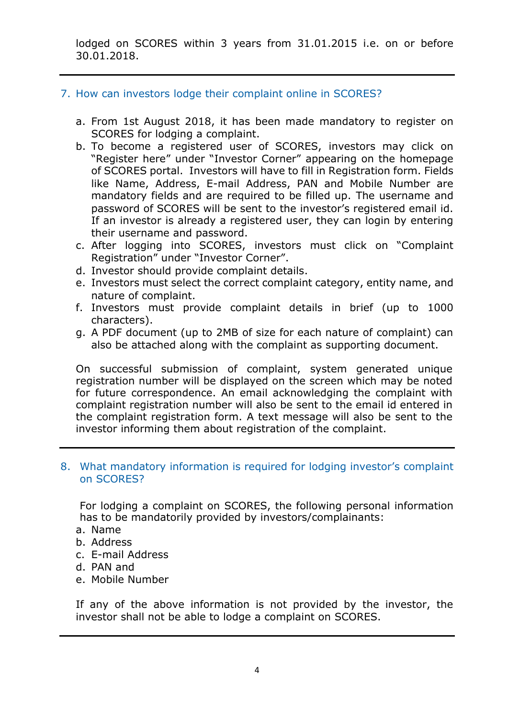lodged on SCORES within 3 years from 31.01.2015 i.e. on or before 30.01.2018.

# 7. How can investors lodge their complaint online in SCORES?

- a. From 1st August 2018, it has been made mandatory to register on SCORES for lodging a complaint.
- b. To become a registered user of SCORES, investors may click on "Register here" under "Investor Corner" appearing on the homepage of SCORES portal. Investors will have to fill in Registration form. Fields like Name, Address, E-mail Address, PAN and Mobile Number are mandatory fields and are required to be filled up. The username and password of SCORES will be sent to the investor's registered email id. If an investor is already a registered user, they can login by entering their username and password.
- c. After logging into SCORES, investors must click on "Complaint Registration" under "Investor Corner".
- d. Investor should provide complaint details.
- e. Investors must select the correct complaint category, entity name, and nature of complaint.
- f. Investors must provide complaint details in brief (up to 1000 characters).
- g. A PDF document (up to 2MB of size for each nature of complaint) can also be attached along with the complaint as supporting document.

On successful submission of complaint, system generated unique registration number will be displayed on the screen which may be noted for future correspondence. An email acknowledging the complaint with complaint registration number will also be sent to the email id entered in the complaint registration form. A text message will also be sent to the investor informing them about registration of the complaint.

#### 8. What mandatory information is required for lodging investor's complaint on SCORES?

For lodging a complaint on SCORES, the following personal information has to be mandatorily provided by investors/complainants:

- a. Name
- b. Address
- c. E-mail Address
- d. PAN and
- e. Mobile Number

If any of the above information is not provided by the investor, the investor shall not be able to lodge a complaint on SCORES.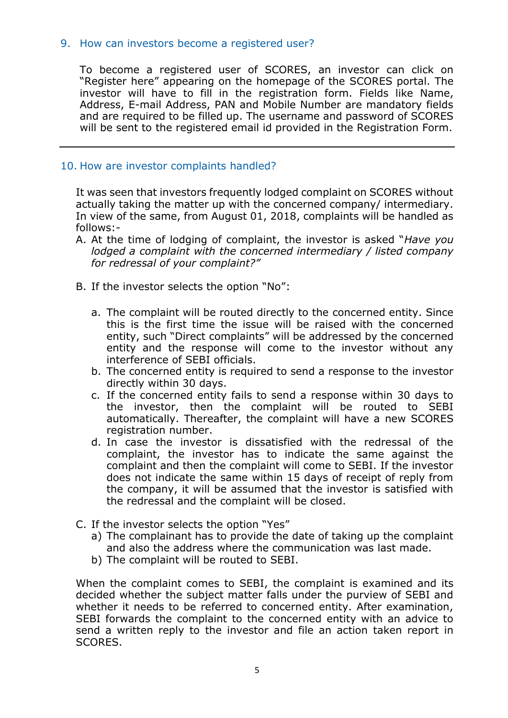# 9. How can investors become a registered user?

To become a registered user of SCORES, an investor can click on "Register here" appearing on the homepage of the SCORES portal. The investor will have to fill in the registration form. Fields like Name, Address, E-mail Address, PAN and Mobile Number are mandatory fields and are required to be filled up. The username and password of SCORES will be sent to the registered email id provided in the Registration Form.

# 10. How are investor complaints handled?

It was seen that investors frequently lodged complaint on SCORES without actually taking the matter up with the concerned company/ intermediary. In view of the same, from August 01, 2018, complaints will be handled as follows:-

- A. At the time of lodging of complaint, the investor is asked "*Have you lodged a complaint with the concerned intermediary / listed company for redressal of your complaint?"*
- B. If the investor selects the option "No":
	- a. The complaint will be routed directly to the concerned entity. Since this is the first time the issue will be raised with the concerned entity, such "Direct complaints" will be addressed by the concerned entity and the response will come to the investor without any interference of SEBI officials.
	- b. The concerned entity is required to send a response to the investor directly within 30 days.
	- c. If the concerned entity fails to send a response within 30 days to the investor, then the complaint will be routed to SEBI automatically. Thereafter, the complaint will have a new SCORES registration number.
	- d. In case the investor is dissatisfied with the redressal of the complaint, the investor has to indicate the same against the complaint and then the complaint will come to SEBI. If the investor does not indicate the same within 15 days of receipt of reply from the company, it will be assumed that the investor is satisfied with the redressal and the complaint will be closed.
- C. If the investor selects the option "Yes"
	- a) The complainant has to provide the date of taking up the complaint and also the address where the communication was last made.
	- b) The complaint will be routed to SEBI.

When the complaint comes to SEBI, the complaint is examined and its decided whether the subject matter falls under the purview of SEBI and whether it needs to be referred to concerned entity. After examination, SEBI forwards the complaint to the concerned entity with an advice to send a written reply to the investor and file an action taken report in SCORES.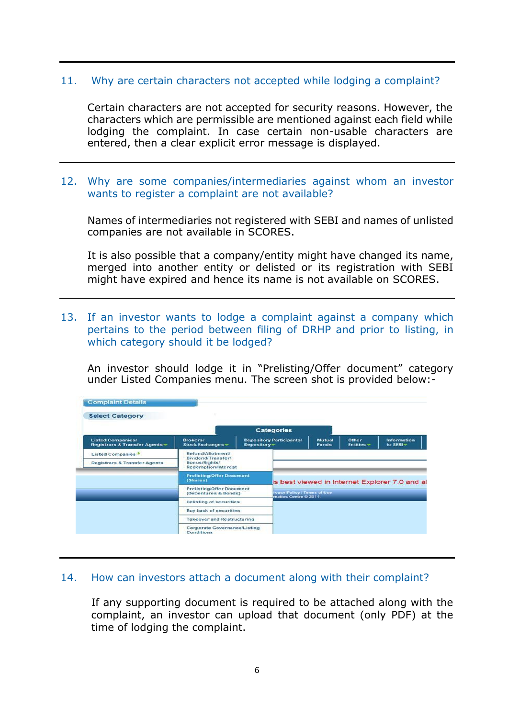## 11. Why are certain characters not accepted while lodging a complaint?

Certain characters are not accepted for security reasons. However, the characters which are permissible are mentioned against each field while lodging the complaint. In case certain non-usable characters are entered, then a clear explicit error message is displayed.

# 12. Why are some companies/intermediaries against whom an investor wants to register a complaint are not available?

Names of intermediaries not registered with SEBI and names of unlisted companies are not available in SCORES.

It is also possible that a company/entity might have changed its name, merged into another entity or delisted or its registration with SEBI might have expired and hence its name is not available on SCORES.

13. If an investor wants to lodge a complaint against a company which pertains to the period between filing of DRHP and prior to listing, in which category should it be lodged?

An investor should lodge it in "Prelisting/Offer document" category under Listed Companies menu. The screen shot is provided below:-

|                                                                             |                                                                                                   | Categories                                     |                                                             |                        |                                               |                         |
|-----------------------------------------------------------------------------|---------------------------------------------------------------------------------------------------|------------------------------------------------|-------------------------------------------------------------|------------------------|-----------------------------------------------|-------------------------|
| <b>Listed Companies/</b><br>Registrars & Transfer Agents -                  | Brokers/<br>Stock Exchanges =                                                                     | <b>Depository Participants/</b><br>Depository- |                                                             | Mutual<br><b>Funds</b> | Other<br>$Entites -$                          | Information<br>to SEBI- |
| Listed Companies <sup>&gt;</sup><br><b>Registrars &amp; Transfer Agents</b> | Refund/Allotment/<br>Dividend/Transfer/<br>Bonus/Rights/<br><b>Redemption/Interest</b>            |                                                |                                                             |                        |                                               |                         |
|                                                                             | <b>Prelisting/Offer Document</b><br>(Shares)<br>Prelisting/Offer Document<br>(Debentures & Bonds) |                                                |                                                             |                        | is best viewed in Internet Explorer 7.0 and a |                         |
|                                                                             |                                                                                                   |                                                | <b>Ivacy Policy   Terms of Use</b><br>matics Centre @ 2011. |                        |                                               |                         |
|                                                                             | Delisting of securities                                                                           |                                                |                                                             |                        |                                               |                         |
|                                                                             | <b>Buy back of securities</b>                                                                     |                                                |                                                             |                        |                                               |                         |
|                                                                             | <b>Takeover and Restructuring</b>                                                                 |                                                |                                                             |                        |                                               |                         |
|                                                                             | <b>Corporate Governance/Listing</b><br>Conditions                                                 |                                                |                                                             |                        |                                               |                         |

#### 14. How can investors attach a document along with their complaint?

If any supporting document is required to be attached along with the complaint, an investor can upload that document (only PDF) at the time of lodging the complaint.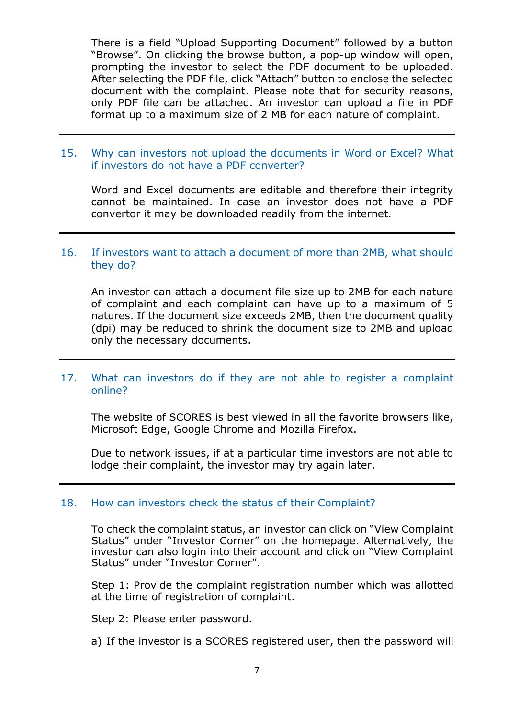There is a field "Upload Supporting Document" followed by a button "Browse". On clicking the browse button, a pop-up window will open, prompting the investor to select the PDF document to be uploaded. After selecting the PDF file, click "Attach" button to enclose the selected document with the complaint. Please note that for security reasons, only PDF file can be attached. An investor can upload a file in PDF format up to a maximum size of 2 MB for each nature of complaint.

# 15. Why can investors not upload the documents in Word or Excel? What if investors do not have a PDF converter?

Word and Excel documents are editable and therefore their integrity cannot be maintained. In case an investor does not have a PDF convertor it may be downloaded readily from the internet.

# 16. If investors want to attach a document of more than 2MB, what should they do?

An investor can attach a document file size up to 2MB for each nature of complaint and each complaint can have up to a maximum of 5 natures. If the document size exceeds 2MB, then the document quality (dpi) may be reduced to shrink the document size to 2MB and upload only the necessary documents.

# 17. What can investors do if they are not able to register a complaint online?

The website of SCORES is best viewed in all the favorite browsers like, Microsoft Edge, Google Chrome and Mozilla Firefox.

Due to network issues, if at a particular time investors are not able to lodge their complaint, the investor may try again later.

#### 18. How can investors check the status of their Complaint?

To check the complaint status, an investor can click on "View Complaint Status" under "Investor Corner" on the homepage. Alternatively, the investor can also login into their account and click on "View Complaint Status" under "Investor Corner".

Step 1: Provide the complaint registration number which was allotted at the time of registration of complaint.

Step 2: Please enter password.

a) If the investor is a SCORES registered user, then the password will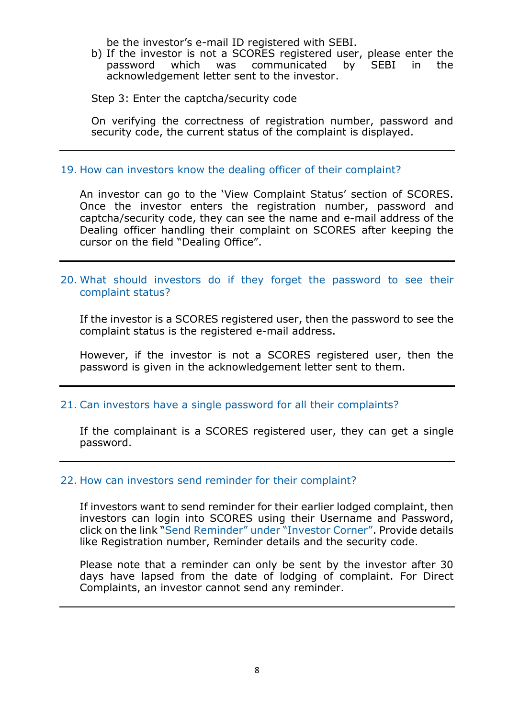be the investor's e-mail ID registered with SEBI.

b) If the investor is not a SCORES registered user, please enter the password which was communicated by SEBI in the acknowledgement letter sent to the investor.

#### Step 3: Enter the captcha/security code

On verifying the correctness of registration number, password and security code, the current status of the complaint is displayed.

#### 19. How can investors know the dealing officer of their complaint?

An investor can go to the 'View Complaint Status' section of SCORES. Once the investor enters the registration number, password and captcha/security code, they can see the name and e-mail address of the Dealing officer handling their complaint on SCORES after keeping the cursor on the field "Dealing Office".

### 20. What should investors do if they forget the password to see their complaint status?

If the investor is a SCORES registered user, then the password to see the complaint status is the registered e-mail address.

However, if the investor is not a SCORES registered user, then the password is given in the acknowledgement letter sent to them.

#### 21. Can investors have a single password for all their complaints?

If the complainant is a SCORES registered user, they can get a single password.

#### 22. How can investors send reminder for their complaint?

If investors want to send reminder for their earlier lodged complaint, then investors can login into SCORES using their Username and Password, click on the link "Send Reminder" under "Investor Corner". Provide details like Registration number, Reminder details and the security code.

Please note that a reminder can only be sent by the investor after 30 days have lapsed from the date of lodging of complaint. For Direct Complaints, an investor cannot send any reminder.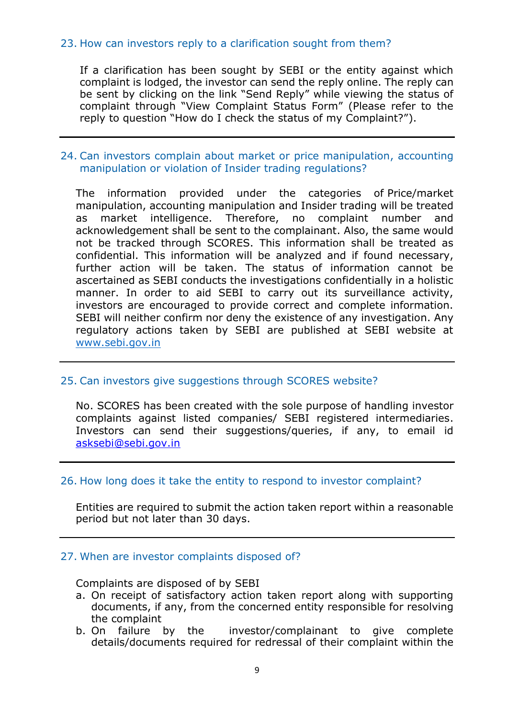# 23. How can investors reply to a clarification sought from them?

If a clarification has been sought by SEBI or the entity against which complaint is lodged, the investor can send the reply online. The reply can be sent by clicking on the link "Send Reply" while viewing the status of complaint through "View Complaint Status Form" (Please refer to the reply to question "How do I check the status of my Complaint?").

# 24. Can investors complain about market or price manipulation, accounting manipulation or violation of Insider trading regulations?

The information provided under the categories of Price/market manipulation, accounting manipulation and Insider trading will be treated as market intelligence. Therefore, no complaint number and acknowledgement shall be sent to the complainant. Also, the same would not be tracked through SCORES. This information shall be treated as confidential. This information will be analyzed and if found necessary, further action will be taken. The status of information cannot be ascertained as SEBI conducts the investigations confidentially in a holistic manner. In order to aid SEBI to carry out its surveillance activity, investors are encouraged to provide correct and complete information. SEBI will neither confirm nor deny the existence of any investigation. Any regulatory actions taken by SEBI are published at SEBI website at [www.sebi.gov.in](http://www.sebi.gov.in/)

# 25. Can investors give suggestions through SCORES website?

No. SCORES has been created with the sole purpose of handling investor complaints against listed companies/ SEBI registered intermediaries. Investors can send their suggestions/queries, if any, to email id asksebi@sebi.gov.in

#### 26. How long does it take the entity to respond to investor complaint?

Entities are required to submit the action taken report within a reasonable period but not later than 30 days.

#### 27. When are investor complaints disposed of?

Complaints are disposed of by SEBI

- a. On receipt of satisfactory action taken report along with supporting documents, if any, from the concerned entity responsible for resolving the complaint
- b. On failure by the investor/complainant to give complete details/documents required for redressal of their complaint within the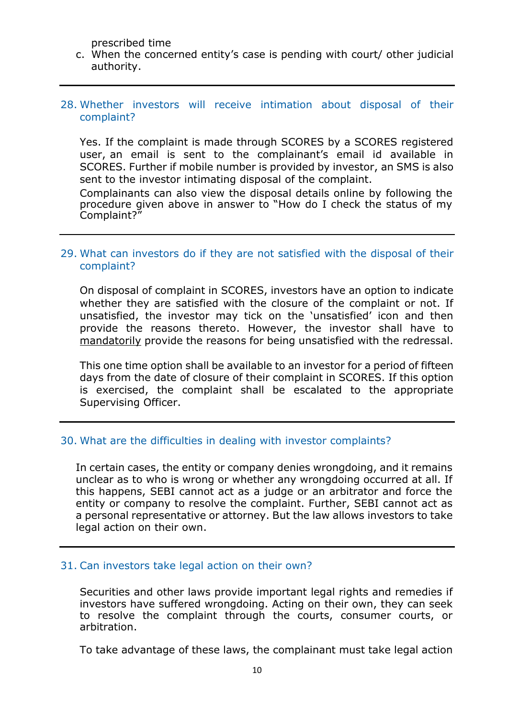prescribed time

c. When the concerned entity's case is pending with court/ other judicial authority.

#### 28. Whether investors will receive intimation about disposal of their complaint?

Yes. If the complaint is made through SCORES by a SCORES registered user, an email is sent to the complainant's email id available in SCORES. Further if mobile number is provided by investor, an SMS is also sent to the investor intimating disposal of the complaint.

Complainants can also view the disposal details online by following the procedure given above in answer to "How do I check the status of my Complaint?"

# 29. What can investors do if they are not satisfied with the disposal of their complaint?

On disposal of complaint in SCORES, investors have an option to indicate whether they are satisfied with the closure of the complaint or not. If unsatisfied, the investor may tick on the 'unsatisfied' icon and then provide the reasons thereto. However, the investor shall have to mandatorily provide the reasons for being unsatisfied with the redressal.

This one time option shall be available to an investor for a period of fifteen days from the date of closure of their complaint in SCORES. If this option is exercised, the complaint shall be escalated to the appropriate Supervising Officer.

#### 30. What are the difficulties in dealing with investor complaints?

In certain cases, the entity or company denies wrongdoing, and it remains unclear as to who is wrong or whether any wrongdoing occurred at all. If this happens, SEBI cannot act as a judge or an arbitrator and force the entity or company to resolve the complaint. Further, SEBI cannot act as a personal representative or attorney. But the law allows investors to take legal action on their own.

#### 31. Can investors take legal action on their own?

Securities and other laws provide important legal rights and remedies if investors have suffered wrongdoing. Acting on their own, they can seek to resolve the complaint through the courts, consumer courts, or arbitration.

To take advantage of these laws, the complainant must take legal action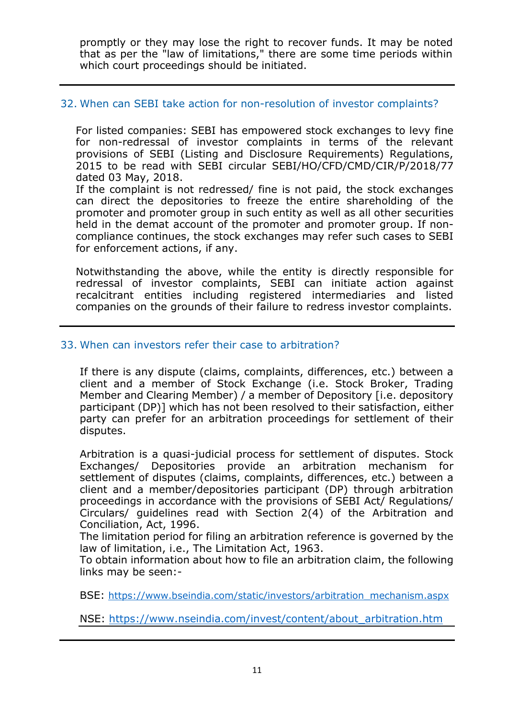promptly or they may lose the right to recover funds. It may be noted that as per the "law of limitations," there are some time periods within which court proceedings should be initiated.

# 32. When can SEBI take action for non-resolution of investor complaints?

For listed companies: SEBI has empowered stock exchanges to levy fine for non-redressal of investor complaints in terms of the relevant provisions of SEBI (Listing and Disclosure Requirements) Regulations, 2015 to be read with SEBI circular SEBI/HO/CFD/CMD/CIR/P/2018/77 dated 03 May, 2018.

If the complaint is not redressed/ fine is not paid, the stock exchanges can direct the depositories to freeze the entire shareholding of the promoter and promoter group in such entity as well as all other securities held in the demat account of the promoter and promoter group. If noncompliance continues, the stock exchanges may refer such cases to SEBI for enforcement actions, if any.

Notwithstanding the above, while the entity is directly responsible for redressal of investor complaints, SEBI can initiate action against recalcitrant entities including registered intermediaries and listed companies on the grounds of their failure to redress investor complaints.

# 33. When can investors refer their case to arbitration?

If there is any dispute (claims, complaints, differences, etc.) between a client and a member of Stock Exchange (i.e. Stock Broker, Trading Member and Clearing Member) / a member of Depository [i.e. depository participant (DP)] which has not been resolved to their satisfaction, either party can prefer for an arbitration proceedings for settlement of their disputes.

Arbitration is a quasi-judicial process for settlement of disputes. Stock Exchanges/ Depositories provide an arbitration mechanism for settlement of disputes (claims, complaints, differences, etc.) between a client and a member/depositories participant (DP) through arbitration proceedings in accordance with the provisions of SEBI Act/ Regulations/ Circulars/ guidelines read with Section 2(4) of the Arbitration and Conciliation, Act, 1996.

The limitation period for filing an arbitration reference is governed by the law of limitation, i.e., The Limitation Act, 1963.

To obtain information about how to file an arbitration claim, the following links may be seen:-

BSE: [https://www.bseindia.com/static/investors/arbitration\\_mechanism.aspx](https://www.bseindia.com/static/investors/arbitration_mechanism.aspx)

NSE: [https://www.nseindia.com/invest/content/about\\_arbitration.htm](https://www.nseindia.com/invest/content/about_arbitration.htm)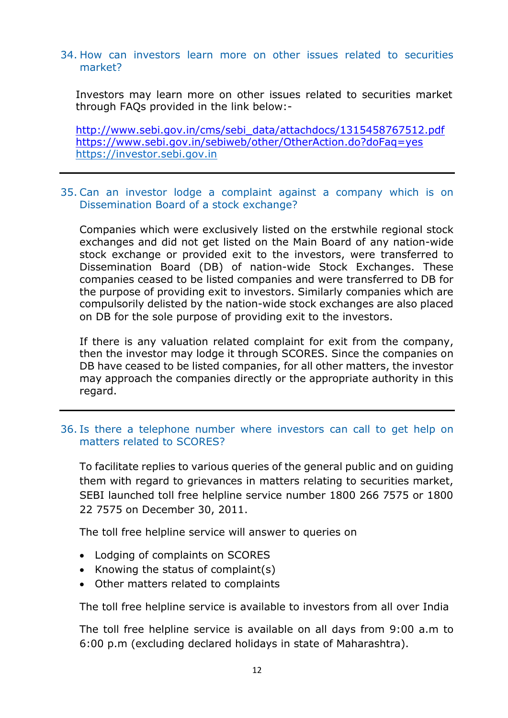#### 34. How can investors learn more on other issues related to securities market?

Investors may learn more on other issues related to securities market through FAQs provided in the link below:-

http://www.sebi.gov.in/cms/sebi\_data/attachdocs/1315458767512.pdf https://www.sebi.gov.in/sebiweb/other/OtherAction.do?doFaq=yes [https://investor.sebi.gov.in](https://investor.sebi.gov.in/)

# 35. Can an investor lodge a complaint against a company which is on Dissemination Board of a stock exchange?

Companies which were exclusively listed on the erstwhile regional stock exchanges and did not get listed on the Main Board of any nation-wide stock exchange or provided exit to the investors, were transferred to Dissemination Board (DB) of nation-wide Stock Exchanges. These companies ceased to be listed companies and were transferred to DB for the purpose of providing exit to investors. Similarly companies which are compulsorily delisted by the nation-wide stock exchanges are also placed on DB for the sole purpose of providing exit to the investors.

If there is any valuation related complaint for exit from the company, then the investor may lodge it through SCORES. Since the companies on DB have ceased to be listed companies, for all other matters, the investor may approach the companies directly or the appropriate authority in this regard.

# 36. Is there a telephone number where investors can call to get help on matters related to SCORES?

To facilitate replies to various queries of the general public and on guiding them with regard to grievances in matters relating to securities market, SEBI launched toll free helpline service number 1800 266 7575 or 1800 22 7575 on December 30, 2011.

The toll free helpline service will answer to queries on

- Lodging of complaints on SCORES
- Knowing the status of complaint(s)
- Other matters related to complaints

The toll free helpline service is available to investors from all over India

The toll free helpline service is available on all days from 9:00 a.m to 6:00 p.m (excluding declared holidays in state of Maharashtra).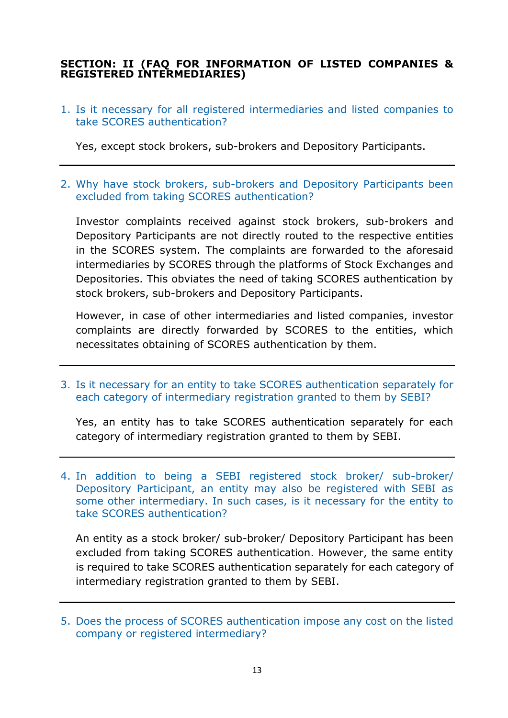# **SECTION: II (FAQ FOR INFORMATION OF LISTED COMPANIES & REGISTERED INTERMEDIARIES)**

1. Is it necessary for all registered intermediaries and listed companies to take SCORES authentication?

Yes, except stock brokers, sub-brokers and Depository Participants.

2. Why have stock brokers, sub-brokers and Depository Participants been excluded from taking SCORES authentication?

Investor complaints received against stock brokers, sub-brokers and Depository Participants are not directly routed to the respective entities in the SCORES system. The complaints are forwarded to the aforesaid intermediaries by SCORES through the platforms of Stock Exchanges and Depositories. This obviates the need of taking SCORES authentication by stock brokers, sub-brokers and Depository Participants.

However, in case of other intermediaries and listed companies, investor complaints are directly forwarded by SCORES to the entities, which necessitates obtaining of SCORES authentication by them.

3. Is it necessary for an entity to take SCORES authentication separately for each category of intermediary registration granted to them by SEBI?

Yes, an entity has to take SCORES authentication separately for each category of intermediary registration granted to them by SEBI.

4. In addition to being a SEBI registered stock broker/ sub-broker/ Depository Participant, an entity may also be registered with SEBI as some other intermediary. In such cases, is it necessary for the entity to take SCORES authentication?

An entity as a stock broker/ sub-broker/ Depository Participant has been excluded from taking SCORES authentication. However, the same entity is required to take SCORES authentication separately for each category of intermediary registration granted to them by SEBI.

<sup>5.</sup> Does the process of SCORES authentication impose any cost on the listed company or registered intermediary?